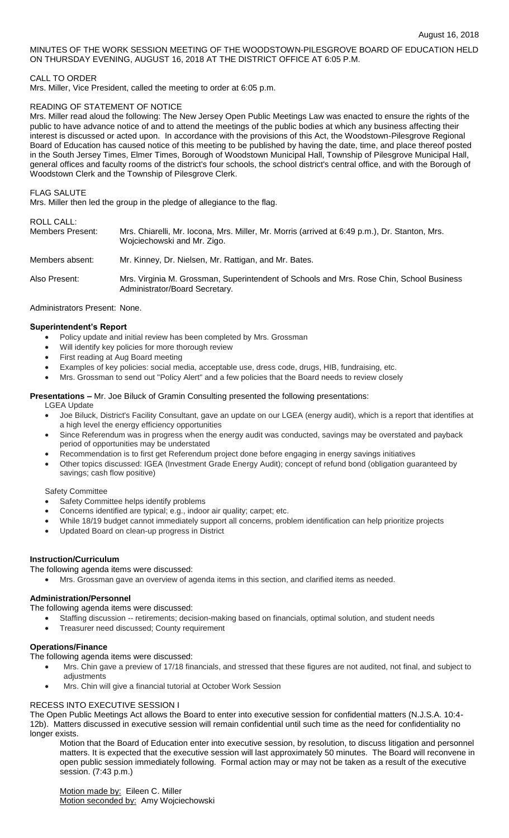MINUTES OF THE WORK SESSION MEETING OF THE WOODSTOWN-PILESGROVE BOARD OF EDUCATION HELD ON THURSDAY EVENING, AUGUST 16, 2018 AT THE DISTRICT OFFICE AT 6:05 P.M.

# CALL TO ORDER

Mrs. Miller, Vice President, called the meeting to order at 6:05 p.m.

## READING OF STATEMENT OF NOTICE

Mrs. Miller read aloud the following: The New Jersey Open Public Meetings Law was enacted to ensure the rights of the public to have advance notice of and to attend the meetings of the public bodies at which any business affecting their interest is discussed or acted upon. In accordance with the provisions of this Act, the Woodstown-Pilesgrove Regional Board of Education has caused notice of this meeting to be published by having the date, time, and place thereof posted in the South Jersey Times, Elmer Times, Borough of Woodstown Municipal Hall, Township of Pilesgrove Municipal Hall, general offices and faculty rooms of the district's four schools, the school district's central office, and with the Borough of Woodstown Clerk and the Township of Pilesgrove Clerk.

#### FLAG SALUTE

Mrs. Miller then led the group in the pledge of allegiance to the flag.

## ROLL CALL:

| Members Present: | Mrs. Chiarelli, Mr. Iocona, Mrs. Miller, Mr. Morris (arrived at 6:49 p.m.), Dr. Stanton, Mrs.<br>Wojciechowski and Mr. Zigo. |
|------------------|------------------------------------------------------------------------------------------------------------------------------|
| Members absent:  | Mr. Kinney, Dr. Nielsen, Mr. Rattigan, and Mr. Bates.                                                                        |
| Also Present:    | Mrs. Virginia M. Grossman, Superintendent of Schools and Mrs. Rose Chin, School Business<br>Administrator/Board Secretary.   |

#### Administrators Present: None.

#### **Superintendent's Report**

- Policy update and initial review has been completed by Mrs. Grossman
- Will identify key policies for more thorough review
- First reading at Aug Board meeting
- Examples of key policies: social media, acceptable use, dress code, drugs, HIB, fundraising, etc.
- Mrs. Grossman to send out "Policy Alert" and a few policies that the Board needs to review closely

#### **Presentations –** Mr. Joe Biluck of Gramin Consulting presented the following presentations:

LGEA Update

- Joe Biluck, District's Facility Consultant, gave an update on our LGEA (energy audit), which is a report that identifies at a high level the energy efficiency opportunities
- Since Referendum was in progress when the energy audit was conducted, savings may be overstated and payback period of opportunities may be understated
- Recommendation is to first get Referendum project done before engaging in energy savings initiatives
- Other topics discussed: IGEA (Investment Grade Energy Audit); concept of refund bond (obligation guaranteed by savings; cash flow positive)

## Safety Committee

- Safety Committee helps identify problems
- Concerns identified are typical; e.g., indoor air quality; carpet; etc.
- While 18/19 budget cannot immediately support all concerns, problem identification can help prioritize projects
- Updated Board on clean-up progress in District

# **Instruction/Curriculum**

# The following agenda items were discussed:

Mrs. Grossman gave an overview of agenda items in this section, and clarified items as needed.

## **Administration/Personnel**

- The following agenda items were discussed:
	- Staffing discussion -- retirements; decision-making based on financials, optimal solution, and student needs
	- Treasurer need discussed; County requirement

## **Operations/Finance**

The following agenda items were discussed:

- Mrs. Chin gave a preview of 17/18 financials, and stressed that these figures are not audited, not final, and subject to adjustments
- Mrs. Chin will give a financial tutorial at October Work Session

# RECESS INTO EXECUTIVE SESSION I

The Open Public Meetings Act allows the Board to enter into executive session for confidential matters (N.J.S.A. 10:4- 12b). Matters discussed in executive session will remain confidential until such time as the need for confidentiality no longer exists.

Motion that the Board of Education enter into executive session, by resolution, to discuss litigation and personnel matters. It is expected that the executive session will last approximately 50 minutes. The Board will reconvene in open public session immediately following. Formal action may or may not be taken as a result of the executive session. (7:43 p.m.)

Motion made by: Eileen C. Miller Motion seconded by: Amy Wojciechowski